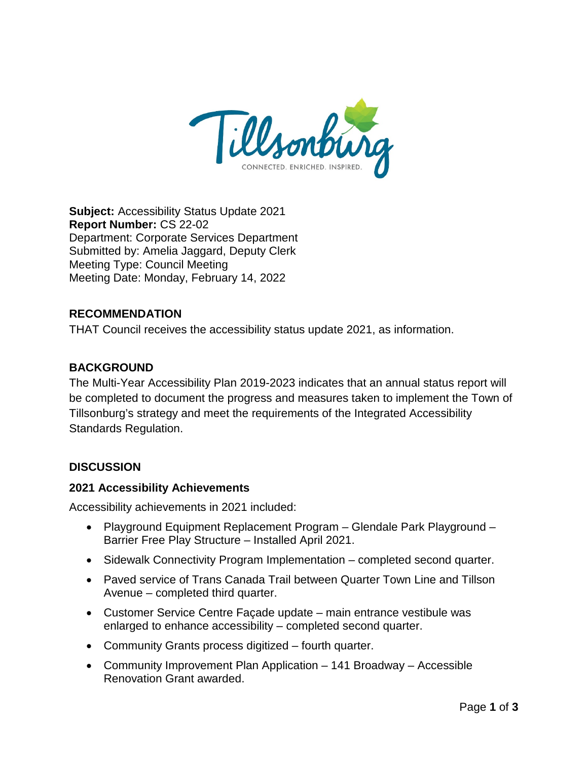

**Subject:** Accessibility Status Update 2021 **Report Number:** CS 22-02 Department: Corporate Services Department Submitted by: Amelia Jaggard, Deputy Clerk Meeting Type: Council Meeting Meeting Date: Monday, February 14, 2022

## **RECOMMENDATION**

THAT Council receives the accessibility status update 2021, as information.

## **BACKGROUND**

The Multi-Year Accessibility Plan 2019-2023 indicates that an annual status report will be completed to document the progress and measures taken to implement the Town of Tillsonburg's strategy and meet the requirements of the Integrated Accessibility Standards Regulation.

## **DISCUSSION**

#### **2021 Accessibility Achievements**

Accessibility achievements in 2021 included:

- Playground Equipment Replacement Program Glendale Park Playground Barrier Free Play Structure – Installed April 2021.
- Sidewalk Connectivity Program Implementation completed second quarter.
- Paved service of Trans Canada Trail between Quarter Town Line and Tillson Avenue – completed third quarter.
- Customer Service Centre Façade update main entrance vestibule was enlarged to enhance accessibility – completed second quarter.
- Community Grants process digitized fourth quarter.
- Community Improvement Plan Application 141 Broadway Accessible Renovation Grant awarded.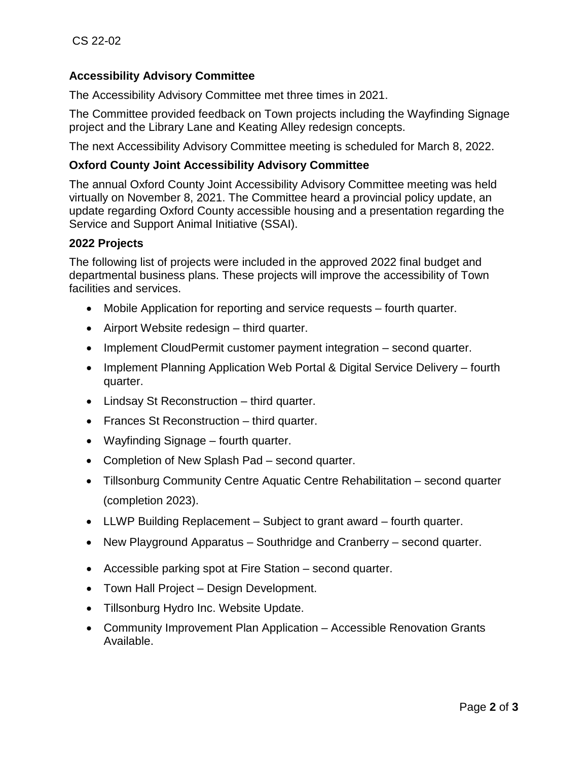# **Accessibility Advisory Committee**

The Accessibility Advisory Committee met three times in 2021.

The Committee provided feedback on Town projects including the Wayfinding Signage project and the Library Lane and Keating Alley redesign concepts.

The next Accessibility Advisory Committee meeting is scheduled for March 8, 2022.

### **Oxford County Joint Accessibility Advisory Committee**

The annual Oxford County Joint Accessibility Advisory Committee meeting was held virtually on November 8, 2021. The Committee heard a provincial policy update, an update regarding Oxford County accessible housing and a presentation regarding the Service and Support Animal Initiative (SSAI).

#### **2022 Projects**

The following list of projects were included in the approved 2022 final budget and departmental business plans. These projects will improve the accessibility of Town facilities and services.

- Mobile Application for reporting and service requests fourth quarter.
- Airport Website redesign third quarter.
- Implement CloudPermit customer payment integration second quarter.
- Implement Planning Application Web Portal & Digital Service Delivery fourth quarter.
- Lindsay St Reconstruction third quarter.
- Frances St Reconstruction third quarter.
- Wayfinding Signage fourth quarter.
- Completion of New Splash Pad second quarter.
- Tillsonburg Community Centre Aquatic Centre Rehabilitation second quarter (completion 2023).
- LLWP Building Replacement Subject to grant award fourth quarter.
- New Playground Apparatus Southridge and Cranberry second quarter.
- Accessible parking spot at Fire Station second quarter.
- Town Hall Project Design Development.
- Tillsonburg Hydro Inc. Website Update.
- Community Improvement Plan Application Accessible Renovation Grants Available.